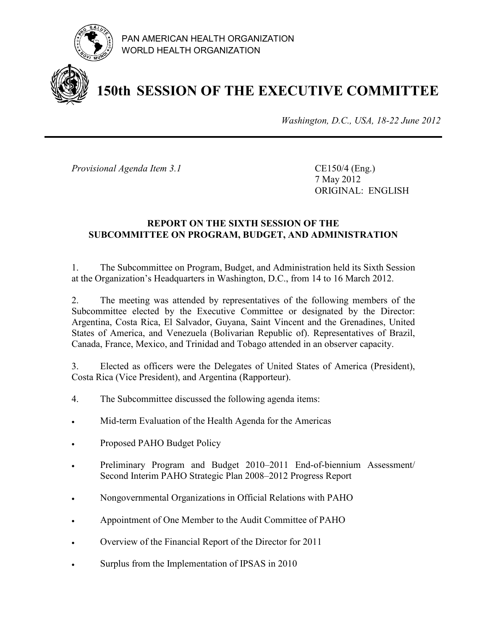

PAN AMERICAN HEALTH ORGANIZATION WORLD HEALTH ORGANIZATION

# **150th SESSION OF THE EXECUTIVE COMMITTEE**

*Washington, D.C., USA, 18-22 June 2012*

*Provisional Agenda Item 3.1* CE150/4 (Eng.)

7 May 2012 ORIGINAL: ENGLISH

### **REPORT ON THE SIXTH SESSION OF THE SUBCOMMITTEE ON PROGRAM, BUDGET, AND ADMINISTRATION**

1. The Subcommittee on Program, Budget, and Administration held its Sixth Session at the Organization's Headquarters in Washington, D.C., from 14 to 16 March 2012.

2. The meeting was attended by representatives of the following members of the Subcommittee elected by the Executive Committee or designated by the Director: Argentina, Costa Rica, El Salvador, Guyana, Saint Vincent and the Grenadines, United States of America, and Venezuela (Bolivarian Republic of). Representatives of Brazil, Canada, France, Mexico, and Trinidad and Tobago attended in an observer capacity.

3. Elected as officers were the Delegates of United States of America (President), Costa Rica (Vice President), and Argentina (Rapporteur).

- 4. The Subcommittee discussed the following agenda items:
- Mid-term Evaluation of the Health Agenda for the Americas
- Proposed PAHO Budget Policy
- Preliminary Program and Budget 2010–2011 End-of-biennium Assessment/ Second Interim PAHO Strategic Plan 2008–2012 Progress Report
- Nongovernmental Organizations in Official Relations with PAHO
- Appointment of One Member to the Audit Committee of PAHO
- Overview of the Financial Report of the Director for 2011
- Surplus from the Implementation of IPSAS in 2010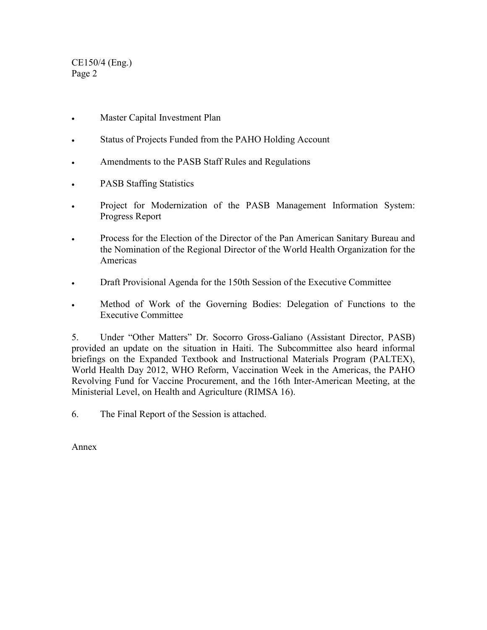CE150/4 (Eng.) Page 2

- Master Capital Investment Plan
- Status of Projects Funded from the PAHO Holding Account
- Amendments to the PASB Staff Rules and Regulations
- PASB Staffing Statistics
- Project for Modernization of the PASB Management Information System: Progress Report
- Process for the Election of the Director of the Pan American Sanitary Bureau and the Nomination of the Regional Director of the World Health Organization for the Americas
- Draft Provisional Agenda for the 150th Session of the Executive Committee
- Method of Work of the Governing Bodies: Delegation of Functions to the Executive Committee

5. Under "Other Matters" Dr. Socorro Gross-Galiano (Assistant Director, PASB) provided an update on the situation in Haiti. The Subcommittee also heard informal briefings on the Expanded Textbook and Instructional Materials Program (PALTEX), World Health Day 2012, WHO Reform, Vaccination Week in the Americas, the PAHO Revolving Fund for Vaccine Procurement, and the 16th Inter-American Meeting, at the Ministerial Level, on Health and Agriculture (RIMSA 16).

6. The Final Report of the Session is attached.

Annex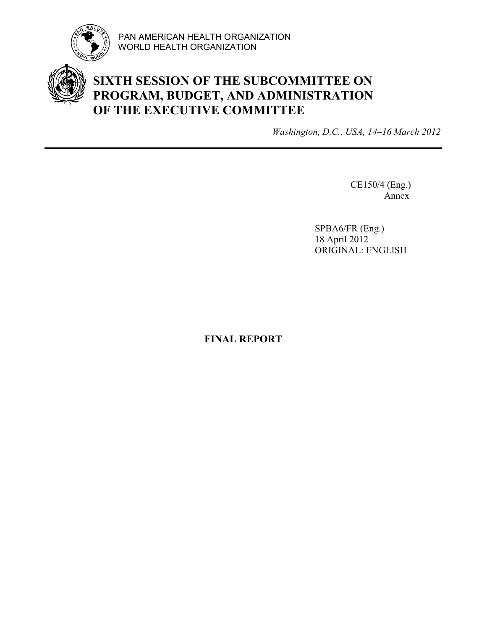

PAN AMERICAN HEALTH ORGANIZATION WORLD HEALTH ORGANIZATION

# **SIXTH SESSION OF THE SUBCOMMITTEE ON PROGRAM, BUDGET, AND ADMINISTRATION OF THE EXECUTIVE COMMITTEE**

*Washington, D.C., USA, 14–16 March 2012*

CE150/4 (Eng.) Annex

SPBA6/FR (Eng.) 18 April 2012 ORIGINAL: ENGLISH

**FINAL REPORT**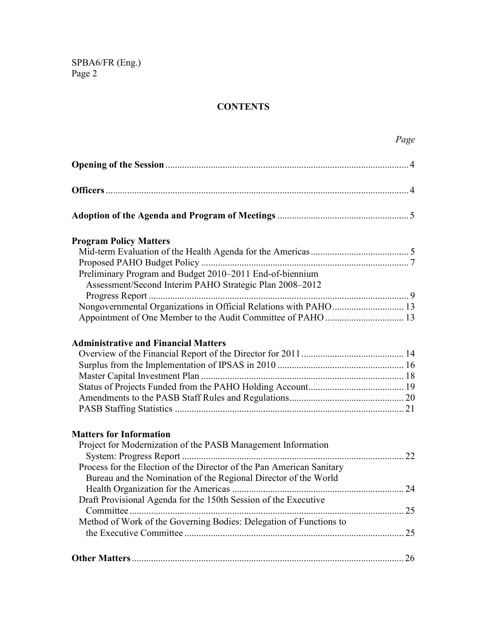# **CONTENTS**

|                                                                       | Page |
|-----------------------------------------------------------------------|------|
|                                                                       |      |
|                                                                       |      |
|                                                                       |      |
| <b>Program Policy Matters</b>                                         |      |
|                                                                       |      |
| Preliminary Program and Budget 2010-2011 End-of-biennium              |      |
| Assessment/Second Interim PAHO Strategic Plan 2008-2012               |      |
| Nongovernmental Organizations in Official Relations with PAHO 13      |      |
|                                                                       |      |
| <b>Administrative and Financial Matters</b>                           |      |
|                                                                       |      |
|                                                                       |      |
|                                                                       |      |
|                                                                       |      |
|                                                                       |      |
| <b>Matters for Information</b>                                        |      |
| Project for Modernization of the PASB Management Information          |      |
|                                                                       | 22   |
| Process for the Election of the Director of the Pan American Sanitary |      |
| Bureau and the Nomination of the Regional Director of the World       |      |
| Draft Provisional Agenda for the 150th Session of the Executive       | 24   |
|                                                                       |      |
| Method of Work of the Governing Bodies: Delegation of Functions to    |      |
|                                                                       | 25   |
|                                                                       | 26   |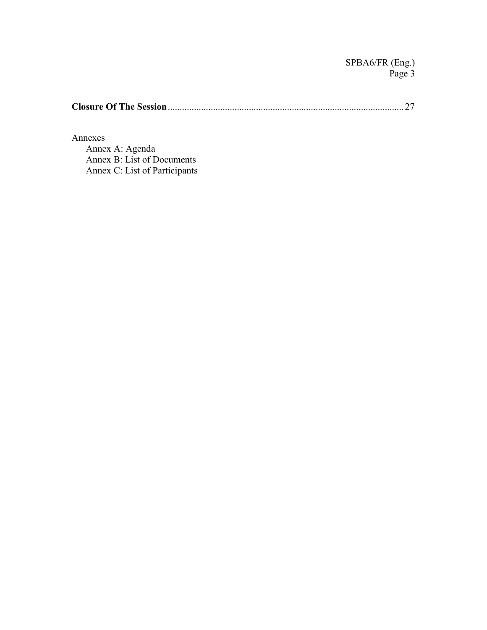**Closure Of The Session** ................................................................................................... 27

Annexes

 Annex A: Agenda Annex B: List of Documents Annex C: List of Participants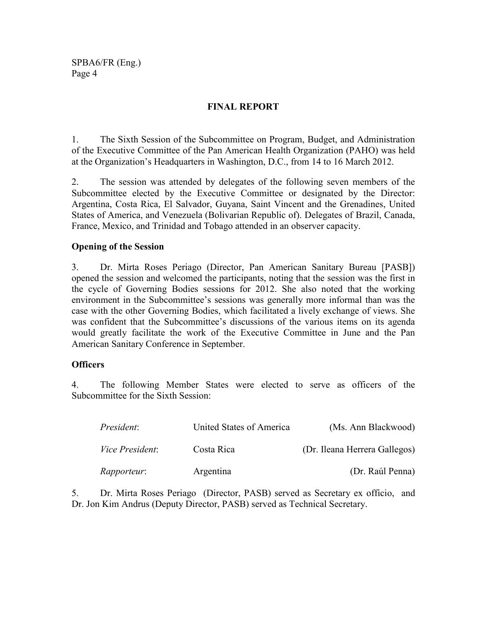#### **FINAL REPORT**

1. The Sixth Session of the Subcommittee on Program, Budget, and Administration of the Executive Committee of the Pan American Health Organization (PAHO) was held at the Organization's Headquarters in Washington, D.C., from 14 to 16 March 2012.

2. The session was attended by delegates of the following seven members of the Subcommittee elected by the Executive Committee or designated by the Director: Argentina, Costa Rica, El Salvador, Guyana, Saint Vincent and the Grenadines, United States of America, and Venezuela (Bolivarian Republic of). Delegates of Brazil, Canada, France, Mexico, and Trinidad and Tobago attended in an observer capacity.

#### **Opening of the Session**

3. Dr. Mirta Roses Periago (Director, Pan American Sanitary Bureau [PASB]) opened the session and welcomed the participants, noting that the session was the first in the cycle of Governing Bodies sessions for 2012. She also noted that the working environment in the Subcommittee's sessions was generally more informal than was the case with the other Governing Bodies, which facilitated a lively exchange of views. She was confident that the Subcommittee's discussions of the various items on its agenda would greatly facilitate the work of the Executive Committee in June and the Pan American Sanitary Conference in September.

#### **Officers**

4. The following Member States were elected to serve as officers of the Subcommittee for the Sixth Session:

| President:             | United States of America | (Ms. Ann Blackwood)           |
|------------------------|--------------------------|-------------------------------|
| <i>Vice President:</i> | Costa Rica               | (Dr. Ileana Herrera Gallegos) |
| <i>Rapporteur:</i>     | Argentina                | (Dr. Raúl Penna)              |

5. Dr. Mirta Roses Periago (Director, PASB) served as Secretary ex officio, and Dr. Jon Kim Andrus (Deputy Director, PASB) served as Technical Secretary.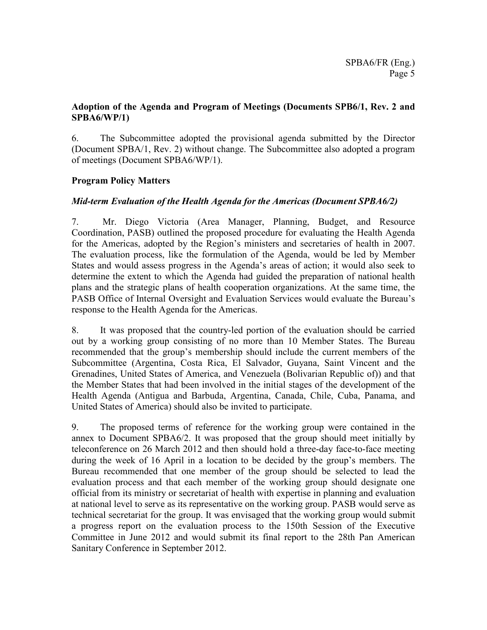### **Adoption of the Agenda and Program of Meetings (Documents SPB6/1, Rev. 2 and SPBA6/WP/1)**

6. The Subcommittee adopted the provisional agenda submitted by the Director (Document SPBA/1, Rev. 2) without change. The Subcommittee also adopted a program of meetings (Document SPBA6/WP/1).

### **Program Policy Matters**

### *Mid-term Evaluation of the Health Agenda for the Americas (Document SPBA6/2)*

7. Mr. Diego Victoria (Area Manager, Planning, Budget, and Resource Coordination, PASB) outlined the proposed procedure for evaluating the Health Agenda for the Americas, adopted by the Region's ministers and secretaries of health in 2007. The evaluation process, like the formulation of the Agenda, would be led by Member States and would assess progress in the Agenda's areas of action; it would also seek to determine the extent to which the Agenda had guided the preparation of national health plans and the strategic plans of health cooperation organizations. At the same time, the PASB Office of Internal Oversight and Evaluation Services would evaluate the Bureau's response to the Health Agenda for the Americas.

8. It was proposed that the country-led portion of the evaluation should be carried out by a working group consisting of no more than 10 Member States. The Bureau recommended that the group's membership should include the current members of the Subcommittee (Argentina, Costa Rica, El Salvador, Guyana, Saint Vincent and the Grenadines, United States of America, and Venezuela (Bolivarian Republic of)) and that the Member States that had been involved in the initial stages of the development of the Health Agenda (Antigua and Barbuda, Argentina, Canada, Chile, Cuba, Panama, and United States of America) should also be invited to participate.

9. The proposed terms of reference for the working group were contained in the annex to Document SPBA6/2. It was proposed that the group should meet initially by teleconference on 26 March 2012 and then should hold a three-day face-to-face meeting during the week of 16 April in a location to be decided by the group's members. The Bureau recommended that one member of the group should be selected to lead the evaluation process and that each member of the working group should designate one official from its ministry or secretariat of health with expertise in planning and evaluation at national level to serve as its representative on the working group. PASB would serve as technical secretariat for the group. It was envisaged that the working group would submit a progress report on the evaluation process to the 150th Session of the Executive Committee in June 2012 and would submit its final report to the 28th Pan American Sanitary Conference in September 2012.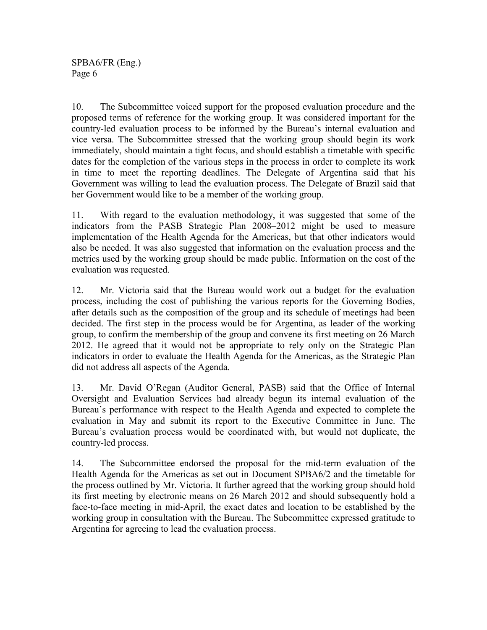10. The Subcommittee voiced support for the proposed evaluation procedure and the proposed terms of reference for the working group. It was considered important for the country-led evaluation process to be informed by the Bureau's internal evaluation and vice versa. The Subcommittee stressed that the working group should begin its work immediately, should maintain a tight focus, and should establish a timetable with specific dates for the completion of the various steps in the process in order to complete its work in time to meet the reporting deadlines. The Delegate of Argentina said that his Government was willing to lead the evaluation process. The Delegate of Brazil said that her Government would like to be a member of the working group.

11. With regard to the evaluation methodology, it was suggested that some of the indicators from the PASB Strategic Plan 2008–2012 might be used to measure implementation of the Health Agenda for the Americas, but that other indicators would also be needed. It was also suggested that information on the evaluation process and the metrics used by the working group should be made public. Information on the cost of the evaluation was requested.

12. Mr. Victoria said that the Bureau would work out a budget for the evaluation process, including the cost of publishing the various reports for the Governing Bodies, after details such as the composition of the group and its schedule of meetings had been decided. The first step in the process would be for Argentina, as leader of the working group, to confirm the membership of the group and convene its first meeting on 26 March 2012. He agreed that it would not be appropriate to rely only on the Strategic Plan indicators in order to evaluate the Health Agenda for the Americas, as the Strategic Plan did not address all aspects of the Agenda.

13. Mr. David O'Regan (Auditor General, PASB) said that the Office of Internal Oversight and Evaluation Services had already begun its internal evaluation of the Bureau's performance with respect to the Health Agenda and expected to complete the evaluation in May and submit its report to the Executive Committee in June. The Bureau's evaluation process would be coordinated with, but would not duplicate, the country-led process.

14. The Subcommittee endorsed the proposal for the mid-term evaluation of the Health Agenda for the Americas as set out in Document SPBA6/2 and the timetable for the process outlined by Mr. Victoria. It further agreed that the working group should hold its first meeting by electronic means on 26 March 2012 and should subsequently hold a face-to-face meeting in mid-April, the exact dates and location to be established by the working group in consultation with the Bureau. The Subcommittee expressed gratitude to Argentina for agreeing to lead the evaluation process.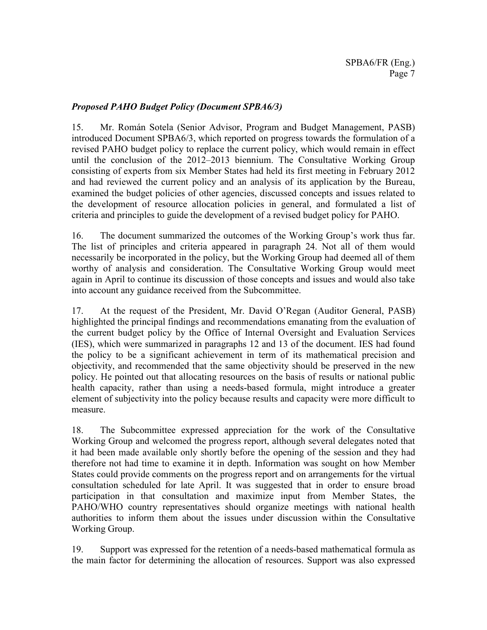### *Proposed PAHO Budget Policy (Document SPBA6/3)*

15. Mr. Román Sotela (Senior Advisor, Program and Budget Management, PASB) introduced Document SPBA6/3, which reported on progress towards the formulation of a revised PAHO budget policy to replace the current policy, which would remain in effect until the conclusion of the 2012–2013 biennium. The Consultative Working Group consisting of experts from six Member States had held its first meeting in February 2012 and had reviewed the current policy and an analysis of its application by the Bureau, examined the budget policies of other agencies, discussed concepts and issues related to the development of resource allocation policies in general, and formulated a list of criteria and principles to guide the development of a revised budget policy for PAHO.

16. The document summarized the outcomes of the Working Group's work thus far. The list of principles and criteria appeared in paragraph 24. Not all of them would necessarily be incorporated in the policy, but the Working Group had deemed all of them worthy of analysis and consideration. The Consultative Working Group would meet again in April to continue its discussion of those concepts and issues and would also take into account any guidance received from the Subcommittee.

17. At the request of the President, Mr. David O'Regan (Auditor General, PASB) highlighted the principal findings and recommendations emanating from the evaluation of the current budget policy by the Office of Internal Oversight and Evaluation Services (IES), which were summarized in paragraphs 12 and 13 of the document. IES had found the policy to be a significant achievement in term of its mathematical precision and objectivity, and recommended that the same objectivity should be preserved in the new policy. He pointed out that allocating resources on the basis of results or national public health capacity, rather than using a needs-based formula, might introduce a greater element of subjectivity into the policy because results and capacity were more difficult to measure.

18. The Subcommittee expressed appreciation for the work of the Consultative Working Group and welcomed the progress report, although several delegates noted that it had been made available only shortly before the opening of the session and they had therefore not had time to examine it in depth. Information was sought on how Member States could provide comments on the progress report and on arrangements for the virtual consultation scheduled for late April. It was suggested that in order to ensure broad participation in that consultation and maximize input from Member States, the PAHO/WHO country representatives should organize meetings with national health authorities to inform them about the issues under discussion within the Consultative Working Group.

19. Support was expressed for the retention of a needs-based mathematical formula as the main factor for determining the allocation of resources. Support was also expressed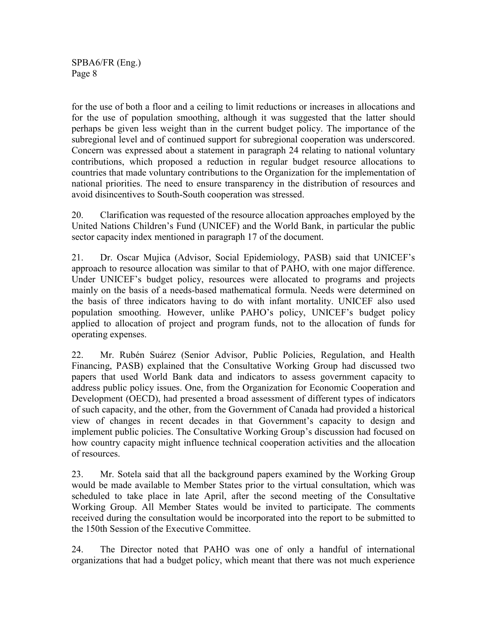for the use of both a floor and a ceiling to limit reductions or increases in allocations and for the use of population smoothing, although it was suggested that the latter should perhaps be given less weight than in the current budget policy. The importance of the subregional level and of continued support for subregional cooperation was underscored. Concern was expressed about a statement in paragraph 24 relating to national voluntary contributions, which proposed a reduction in regular budget resource allocations to countries that made voluntary contributions to the Organization for the implementation of national priorities. The need to ensure transparency in the distribution of resources and avoid disincentives to South-South cooperation was stressed.

20. Clarification was requested of the resource allocation approaches employed by the United Nations Children's Fund (UNICEF) and the World Bank, in particular the public sector capacity index mentioned in paragraph 17 of the document.

21. Dr. Oscar Mujica (Advisor, Social Epidemiology, PASB) said that UNICEF's approach to resource allocation was similar to that of PAHO, with one major difference. Under UNICEF's budget policy, resources were allocated to programs and projects mainly on the basis of a needs-based mathematical formula. Needs were determined on the basis of three indicators having to do with infant mortality. UNICEF also used population smoothing. However, unlike PAHO's policy, UNICEF's budget policy applied to allocation of project and program funds, not to the allocation of funds for operating expenses.

22. Mr. Rubén Suárez (Senior Advisor, Public Policies, Regulation, and Health Financing, PASB) explained that the Consultative Working Group had discussed two papers that used World Bank data and indicators to assess government capacity to address public policy issues. One, from the Organization for Economic Cooperation and Development (OECD), had presented a broad assessment of different types of indicators of such capacity, and the other, from the Government of Canada had provided a historical view of changes in recent decades in that Government's capacity to design and implement public policies. The Consultative Working Group's discussion had focused on how country capacity might influence technical cooperation activities and the allocation of resources.

23. Mr. Sotela said that all the background papers examined by the Working Group would be made available to Member States prior to the virtual consultation, which was scheduled to take place in late April, after the second meeting of the Consultative Working Group. All Member States would be invited to participate. The comments received during the consultation would be incorporated into the report to be submitted to the 150th Session of the Executive Committee.

24. The Director noted that PAHO was one of only a handful of international organizations that had a budget policy, which meant that there was not much experience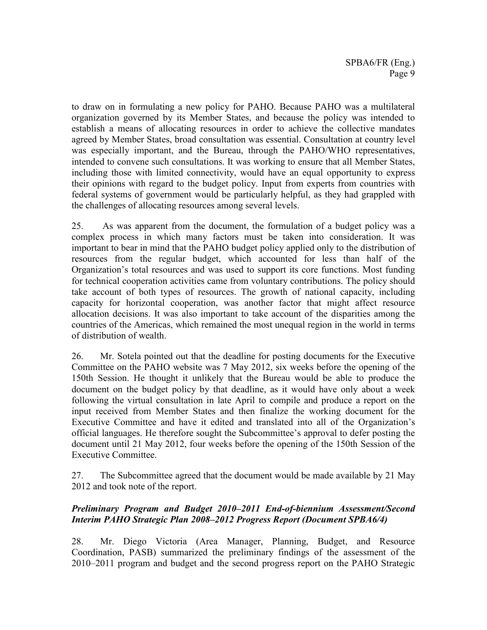to draw on in formulating a new policy for PAHO. Because PAHO was a multilateral organization governed by its Member States, and because the policy was intended to establish a means of allocating resources in order to achieve the collective mandates agreed by Member States, broad consultation was essential. Consultation at country level was especially important, and the Bureau, through the PAHO/WHO representatives, intended to convene such consultations. It was working to ensure that all Member States, including those with limited connectivity, would have an equal opportunity to express their opinions with regard to the budget policy. Input from experts from countries with federal systems of government would be particularly helpful, as they had grappled with the challenges of allocating resources among several levels.

25. As was apparent from the document, the formulation of a budget policy was a complex process in which many factors must be taken into consideration. It was important to bear in mind that the PAHO budget policy applied only to the distribution of resources from the regular budget, which accounted for less than half of the Organization's total resources and was used to support its core functions. Most funding for technical cooperation activities came from voluntary contributions. The policy should take account of both types of resources. The growth of national capacity, including capacity for horizontal cooperation, was another factor that might affect resource allocation decisions. It was also important to take account of the disparities among the countries of the Americas, which remained the most unequal region in the world in terms of distribution of wealth.

26. Mr. Sotela pointed out that the deadline for posting documents for the Executive Committee on the PAHO website was 7 May 2012, six weeks before the opening of the 150th Session. He thought it unlikely that the Bureau would be able to produce the document on the budget policy by that deadline, as it would have only about a week following the virtual consultation in late April to compile and produce a report on the input received from Member States and then finalize the working document for the Executive Committee and have it edited and translated into all of the Organization's official languages. He therefore sought the Subcommittee's approval to defer posting the document until 21 May 2012, four weeks before the opening of the 150th Session of the Executive Committee.

27. The Subcommittee agreed that the document would be made available by 21 May 2012 and took note of the report.

### *Preliminary Program and Budget 2010–2011 End-of-biennium Assessment/Second Interim PAHO Strategic Plan 2008–2012 Progress Report (Document SPBA6/4)*

28. Mr. Diego Victoria (Area Manager, Planning, Budget, and Resource Coordination, PASB) summarized the preliminary findings of the assessment of the 2010–2011 program and budget and the second progress report on the PAHO Strategic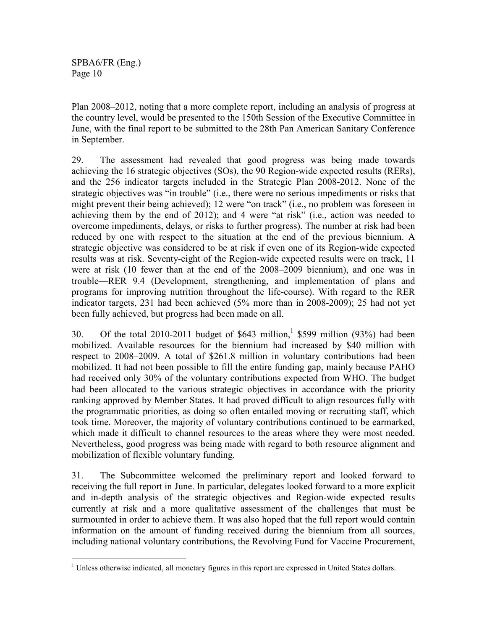Plan 2008–2012, noting that a more complete report, including an analysis of progress at the country level, would be presented to the 150th Session of the Executive Committee in June, with the final report to be submitted to the 28th Pan American Sanitary Conference in September.

29. The assessment had revealed that good progress was being made towards achieving the 16 strategic objectives (SOs), the 90 Region-wide expected results (RERs), and the 256 indicator targets included in the Strategic Plan 2008-2012. None of the strategic objectives was "in trouble" (i.e., there were no serious impediments or risks that might prevent their being achieved); 12 were "on track" (i.e., no problem was foreseen in achieving them by the end of 2012); and 4 were "at risk" (i.e., action was needed to overcome impediments, delays, or risks to further progress). The number at risk had been reduced by one with respect to the situation at the end of the previous biennium. A strategic objective was considered to be at risk if even one of its Region-wide expected results was at risk. Seventy-eight of the Region-wide expected results were on track, 11 were at risk (10 fewer than at the end of the 2008–2009 biennium), and one was in trouble—RER 9.4 (Development, strengthening, and implementation of plans and programs for improving nutrition throughout the life-course). With regard to the RER indicator targets, 231 had been achieved (5% more than in 2008-2009); 25 had not yet been fully achieved, but progress had been made on all.

30. Of the total 2010-2011 budget of \$643 million,<sup>1</sup> \$599 million (93%) had been mobilized. Available resources for the biennium had increased by \$40 million with respect to 2008–2009. A total of \$261.8 million in voluntary contributions had been mobilized. It had not been possible to fill the entire funding gap, mainly because PAHO had received only 30% of the voluntary contributions expected from WHO. The budget had been allocated to the various strategic objectives in accordance with the priority ranking approved by Member States. It had proved difficult to align resources fully with the programmatic priorities, as doing so often entailed moving or recruiting staff, which took time. Moreover, the majority of voluntary contributions continued to be earmarked, which made it difficult to channel resources to the areas where they were most needed. Nevertheless, good progress was being made with regard to both resource alignment and mobilization of flexible voluntary funding.

31. The Subcommittee welcomed the preliminary report and looked forward to receiving the full report in June. In particular, delegates looked forward to a more explicit and in-depth analysis of the strategic objectives and Region-wide expected results currently at risk and a more qualitative assessment of the challenges that must be surmounted in order to achieve them. It was also hoped that the full report would contain information on the amount of funding received during the biennium from all sources, including national voluntary contributions, the Revolving Fund for Vaccine Procurement,

 $\overline{a}$ <sup>1</sup> Unless otherwise indicated, all monetary figures in this report are expressed in United States dollars.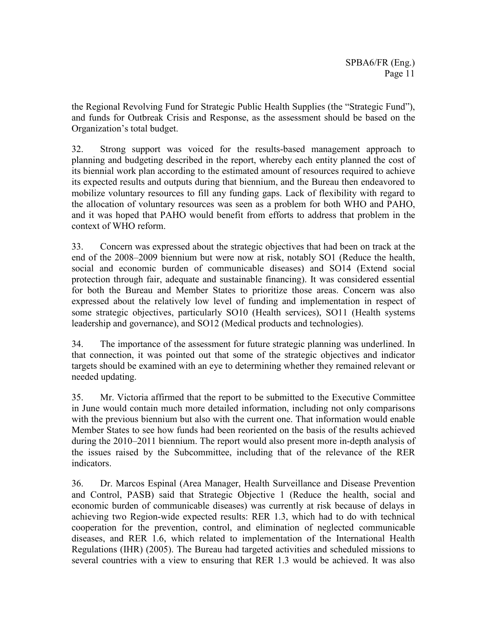the Regional Revolving Fund for Strategic Public Health Supplies (the "Strategic Fund"), and funds for Outbreak Crisis and Response, as the assessment should be based on the Organization's total budget.

32. Strong support was voiced for the results-based management approach to planning and budgeting described in the report, whereby each entity planned the cost of its biennial work plan according to the estimated amount of resources required to achieve its expected results and outputs during that biennium, and the Bureau then endeavored to mobilize voluntary resources to fill any funding gaps. Lack of flexibility with regard to the allocation of voluntary resources was seen as a problem for both WHO and PAHO, and it was hoped that PAHO would benefit from efforts to address that problem in the context of WHO reform.

33. Concern was expressed about the strategic objectives that had been on track at the end of the 2008–2009 biennium but were now at risk, notably SO1 (Reduce the health, social and economic burden of communicable diseases) and SO14 (Extend social protection through fair, adequate and sustainable financing). It was considered essential for both the Bureau and Member States to prioritize those areas. Concern was also expressed about the relatively low level of funding and implementation in respect of some strategic objectives, particularly SO10 (Health services), SO11 (Health systems leadership and governance), and SO12 (Medical products and technologies).

34. The importance of the assessment for future strategic planning was underlined. In that connection, it was pointed out that some of the strategic objectives and indicator targets should be examined with an eye to determining whether they remained relevant or needed updating.

35. Mr. Victoria affirmed that the report to be submitted to the Executive Committee in June would contain much more detailed information, including not only comparisons with the previous biennium but also with the current one. That information would enable Member States to see how funds had been reoriented on the basis of the results achieved during the 2010–2011 biennium. The report would also present more in-depth analysis of the issues raised by the Subcommittee, including that of the relevance of the RER indicators.

36. Dr. Marcos Espinal (Area Manager, Health Surveillance and Disease Prevention and Control, PASB) said that Strategic Objective 1 (Reduce the health, social and economic burden of communicable diseases) was currently at risk because of delays in achieving two Region-wide expected results: RER 1.3, which had to do with technical cooperation for the prevention, control, and elimination of neglected communicable diseases, and RER 1.6, which related to implementation of the International Health Regulations (IHR) (2005). The Bureau had targeted activities and scheduled missions to several countries with a view to ensuring that RER 1.3 would be achieved. It was also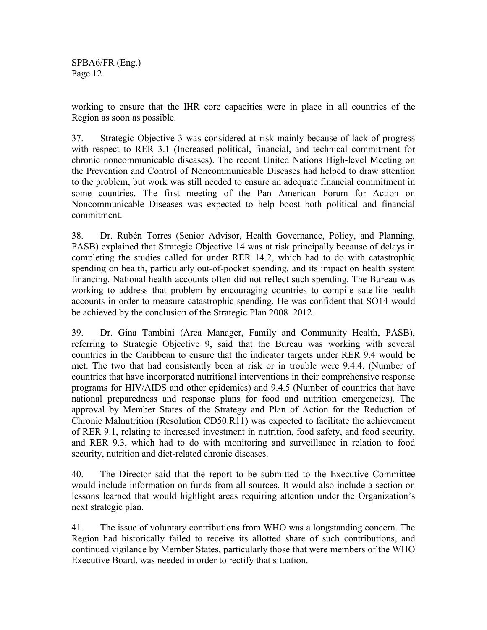working to ensure that the IHR core capacities were in place in all countries of the Region as soon as possible.

37. Strategic Objective 3 was considered at risk mainly because of lack of progress with respect to RER 3.1 (Increased political, financial, and technical commitment for chronic noncommunicable diseases). The recent United Nations High-level Meeting on the Prevention and Control of Noncommunicable Diseases had helped to draw attention to the problem, but work was still needed to ensure an adequate financial commitment in some countries. The first meeting of the Pan American Forum for Action on Noncommunicable Diseases was expected to help boost both political and financial commitment.

38. Dr. Rubén Torres (Senior Advisor, Health Governance, Policy, and Planning, PASB) explained that Strategic Objective 14 was at risk principally because of delays in completing the studies called for under RER 14.2, which had to do with catastrophic spending on health, particularly out-of-pocket spending, and its impact on health system financing. National health accounts often did not reflect such spending. The Bureau was working to address that problem by encouraging countries to compile satellite health accounts in order to measure catastrophic spending. He was confident that SO14 would be achieved by the conclusion of the Strategic Plan 2008–2012.

39. Dr. Gina Tambini (Area Manager, Family and Community Health, PASB), referring to Strategic Objective 9, said that the Bureau was working with several countries in the Caribbean to ensure that the indicator targets under RER 9.4 would be met. The two that had consistently been at risk or in trouble were 9.4.4. (Number of countries that have incorporated nutritional interventions in their comprehensive response programs for HIV/AIDS and other epidemics) and 9.4.5 (Number of countries that have national preparedness and response plans for food and nutrition emergencies). The approval by Member States of the Strategy and Plan of Action for the Reduction of Chronic Malnutrition (Resolution CD50.R11) was expected to facilitate the achievement of RER 9.1, relating to increased investment in nutrition, food safety, and food security, and RER 9.3, which had to do with monitoring and surveillance in relation to food security, nutrition and diet-related chronic diseases.

40. The Director said that the report to be submitted to the Executive Committee would include information on funds from all sources. It would also include a section on lessons learned that would highlight areas requiring attention under the Organization's next strategic plan.

41. The issue of voluntary contributions from WHO was a longstanding concern. The Region had historically failed to receive its allotted share of such contributions, and continued vigilance by Member States, particularly those that were members of the WHO Executive Board, was needed in order to rectify that situation.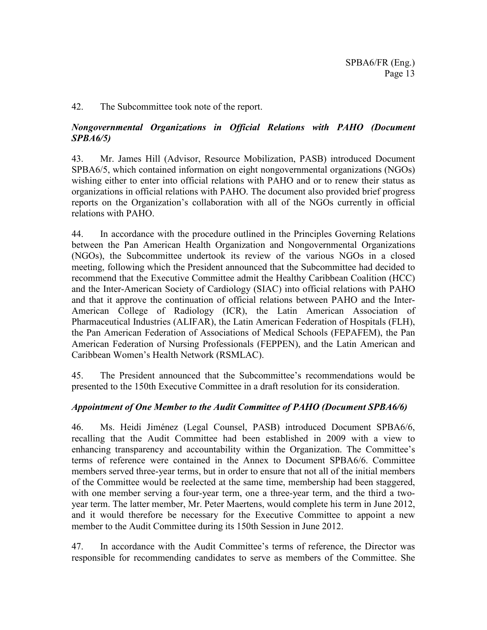#### 42. The Subcommittee took note of the report.

#### *Nongovernmental Organizations in Official Relations with PAHO (Document SPBA6/5)*

43. Mr. James Hill (Advisor, Resource Mobilization, PASB) introduced Document SPBA6/5, which contained information on eight nongovernmental organizations (NGOs) wishing either to enter into official relations with PAHO and or to renew their status as organizations in official relations with PAHO. The document also provided brief progress reports on the Organization's collaboration with all of the NGOs currently in official relations with PAHO.

44. In accordance with the procedure outlined in the Principles Governing Relations between the Pan American Health Organization and Nongovernmental Organizations (NGOs), the Subcommittee undertook its review of the various NGOs in a closed meeting, following which the President announced that the Subcommittee had decided to recommend that the Executive Committee admit the Healthy Caribbean Coalition (HCC) and the Inter-American Society of Cardiology (SIAC) into official relations with PAHO and that it approve the continuation of official relations between PAHO and the Inter-American College of Radiology (ICR), the Latin American Association of Pharmaceutical Industries (ALIFAR), the Latin American Federation of Hospitals (FLH), the Pan American Federation of Associations of Medical Schools (FEPAFEM), the Pan American Federation of Nursing Professionals (FEPPEN), and the Latin American and Caribbean Women's Health Network (RSMLAC).

45. The President announced that the Subcommittee's recommendations would be presented to the 150th Executive Committee in a draft resolution for its consideration.

### *Appointment of One Member to the Audit Committee of PAHO (Document SPBA6/6)*

46. Ms. Heidi Jiménez (Legal Counsel, PASB) introduced Document SPBA6/6, recalling that the Audit Committee had been established in 2009 with a view to enhancing transparency and accountability within the Organization. The Committee's terms of reference were contained in the Annex to Document SPBA6/6. Committee members served three-year terms, but in order to ensure that not all of the initial members of the Committee would be reelected at the same time, membership had been staggered, with one member serving a four-year term, one a three-year term, and the third a twoyear term. The latter member, Mr. Peter Maertens, would complete his term in June 2012, and it would therefore be necessary for the Executive Committee to appoint a new member to the Audit Committee during its 150th Session in June 2012.

47. In accordance with the Audit Committee's terms of reference, the Director was responsible for recommending candidates to serve as members of the Committee. She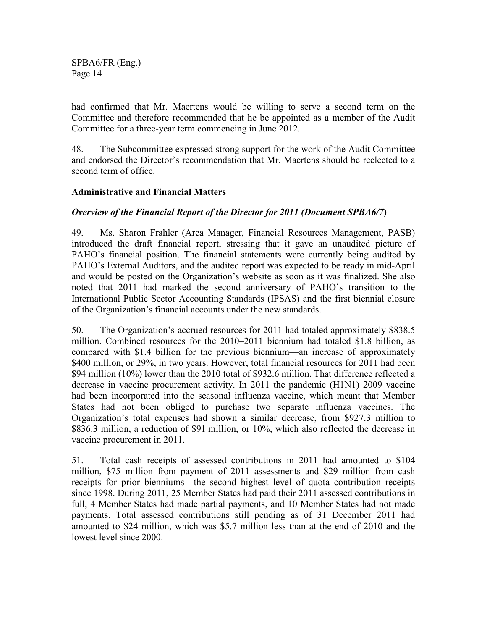had confirmed that Mr. Maertens would be willing to serve a second term on the Committee and therefore recommended that he be appointed as a member of the Audit Committee for a three-year term commencing in June 2012.

48. The Subcommittee expressed strong support for the work of the Audit Committee and endorsed the Director's recommendation that Mr. Maertens should be reelected to a second term of office.

### **Administrative and Financial Matters**

### *Overview of the Financial Report of the Director for 2011 (Document SPBA6/7***)**

49. Ms. Sharon Frahler (Area Manager, Financial Resources Management, PASB) introduced the draft financial report, stressing that it gave an unaudited picture of PAHO's financial position. The financial statements were currently being audited by PAHO's External Auditors, and the audited report was expected to be ready in mid-April and would be posted on the Organization's website as soon as it was finalized. She also noted that 2011 had marked the second anniversary of PAHO's transition to the International Public Sector Accounting Standards (IPSAS) and the first biennial closure of the Organization's financial accounts under the new standards.

50. The Organization's accrued resources for 2011 had totaled approximately \$838.5 million. Combined resources for the 2010–2011 biennium had totaled \$1.8 billion, as compared with \$1.4 billion for the previous biennium—an increase of approximately \$400 million, or 29%, in two years. However, total financial resources for 2011 had been \$94 million (10%) lower than the 2010 total of \$932.6 million. That difference reflected a decrease in vaccine procurement activity. In 2011 the pandemic (H1N1) 2009 vaccine had been incorporated into the seasonal influenza vaccine, which meant that Member States had not been obliged to purchase two separate influenza vaccines. The Organization's total expenses had shown a similar decrease, from \$927.3 million to \$836.3 million, a reduction of \$91 million, or 10%, which also reflected the decrease in vaccine procurement in 2011.

51. Total cash receipts of assessed contributions in 2011 had amounted to \$104 million, \$75 million from payment of 2011 assessments and \$29 million from cash receipts for prior bienniums—the second highest level of quota contribution receipts since 1998. During 2011, 25 Member States had paid their 2011 assessed contributions in full, 4 Member States had made partial payments, and 10 Member States had not made payments. Total assessed contributions still pending as of 31 December 2011 had amounted to \$24 million, which was \$5.7 million less than at the end of 2010 and the lowest level since 2000.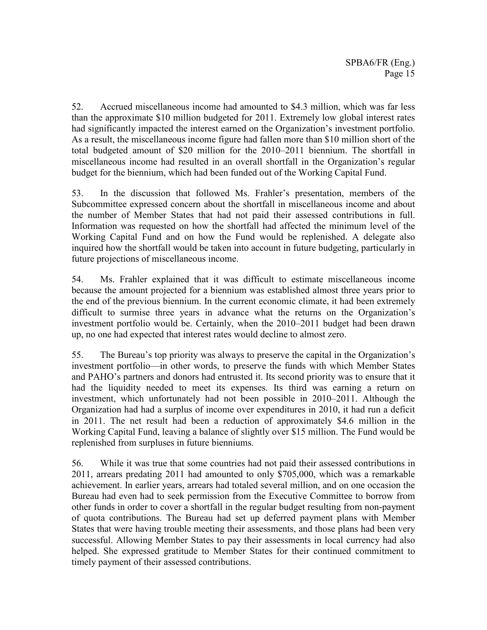52. Accrued miscellaneous income had amounted to \$4.3 million, which was far less than the approximate \$10 million budgeted for 2011. Extremely low global interest rates had significantly impacted the interest earned on the Organization's investment portfolio. As a result, the miscellaneous income figure had fallen more than \$10 million short of the total budgeted amount of \$20 million for the 2010–2011 biennium. The shortfall in miscellaneous income had resulted in an overall shortfall in the Organization's regular budget for the biennium, which had been funded out of the Working Capital Fund.

53. In the discussion that followed Ms. Frahler's presentation, members of the Subcommittee expressed concern about the shortfall in miscellaneous income and about the number of Member States that had not paid their assessed contributions in full. Information was requested on how the shortfall had affected the minimum level of the Working Capital Fund and on how the Fund would be replenished. A delegate also inquired how the shortfall would be taken into account in future budgeting, particularly in future projections of miscellaneous income.

54. Ms. Frahler explained that it was difficult to estimate miscellaneous income because the amount projected for a biennium was established almost three years prior to the end of the previous biennium. In the current economic climate, it had been extremely difficult to surmise three years in advance what the returns on the Organization's investment portfolio would be. Certainly, when the 2010–2011 budget had been drawn up, no one had expected that interest rates would decline to almost zero.

55. The Bureau's top priority was always to preserve the capital in the Organization's investment portfolio—in other words, to preserve the funds with which Member States and PAHO's partners and donors had entrusted it. Its second priority was to ensure that it had the liquidity needed to meet its expenses. Its third was earning a return on investment, which unfortunately had not been possible in 2010–2011. Although the Organization had had a surplus of income over expenditures in 2010, it had run a deficit in 2011. The net result had been a reduction of approximately \$4.6 million in the Working Capital Fund, leaving a balance of slightly over \$15 million. The Fund would be replenished from surpluses in future bienniums.

56. While it was true that some countries had not paid their assessed contributions in 2011, arrears predating 2011 had amounted to only \$705,000, which was a remarkable achievement. In earlier years, arrears had totaled several million, and on one occasion the Bureau had even had to seek permission from the Executive Committee to borrow from other funds in order to cover a shortfall in the regular budget resulting from non-payment of quota contributions. The Bureau had set up deferred payment plans with Member States that were having trouble meeting their assessments, and those plans had been very successful. Allowing Member States to pay their assessments in local currency had also helped. She expressed gratitude to Member States for their continued commitment to timely payment of their assessed contributions.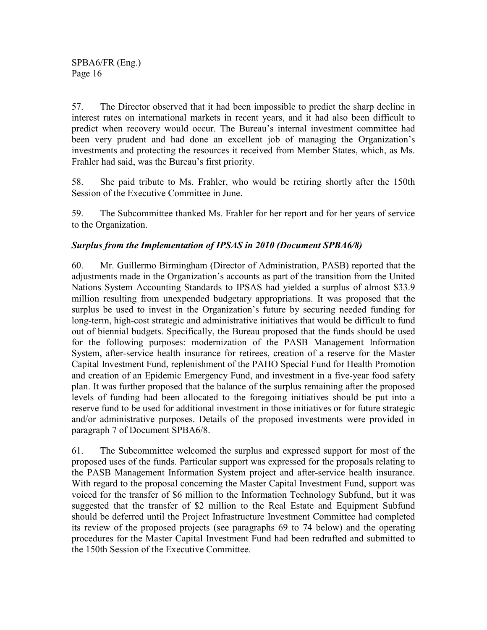57. The Director observed that it had been impossible to predict the sharp decline in interest rates on international markets in recent years, and it had also been difficult to predict when recovery would occur. The Bureau's internal investment committee had been very prudent and had done an excellent job of managing the Organization's investments and protecting the resources it received from Member States, which, as Ms. Frahler had said, was the Bureau's first priority.

58. She paid tribute to Ms. Frahler, who would be retiring shortly after the 150th Session of the Executive Committee in June.

59. The Subcommittee thanked Ms. Frahler for her report and for her years of service to the Organization.

### *Surplus from the Implementation of IPSAS in 2010 (Document SPBA6/8)*

60. Mr. Guillermo Birmingham (Director of Administration, PASB) reported that the adjustments made in the Organization's accounts as part of the transition from the United Nations System Accounting Standards to IPSAS had yielded a surplus of almost \$33.9 million resulting from unexpended budgetary appropriations. It was proposed that the surplus be used to invest in the Organization's future by securing needed funding for long-term, high-cost strategic and administrative initiatives that would be difficult to fund out of biennial budgets. Specifically, the Bureau proposed that the funds should be used for the following purposes: modernization of the PASB Management Information System, after-service health insurance for retirees, creation of a reserve for the Master Capital Investment Fund, replenishment of the PAHO Special Fund for Health Promotion and creation of an Epidemic Emergency Fund, and investment in a five-year food safety plan. It was further proposed that the balance of the surplus remaining after the proposed levels of funding had been allocated to the foregoing initiatives should be put into a reserve fund to be used for additional investment in those initiatives or for future strategic and/or administrative purposes. Details of the proposed investments were provided in paragraph 7 of Document SPBA6/8.

61. The Subcommittee welcomed the surplus and expressed support for most of the proposed uses of the funds. Particular support was expressed for the proposals relating to the PASB Management Information System project and after-service health insurance. With regard to the proposal concerning the Master Capital Investment Fund, support was voiced for the transfer of \$6 million to the Information Technology Subfund, but it was suggested that the transfer of \$2 million to the Real Estate and Equipment Subfund should be deferred until the Project Infrastructure Investment Committee had completed its review of the proposed projects (see paragraphs 69 to 74 below) and the operating procedures for the Master Capital Investment Fund had been redrafted and submitted to the 150th Session of the Executive Committee.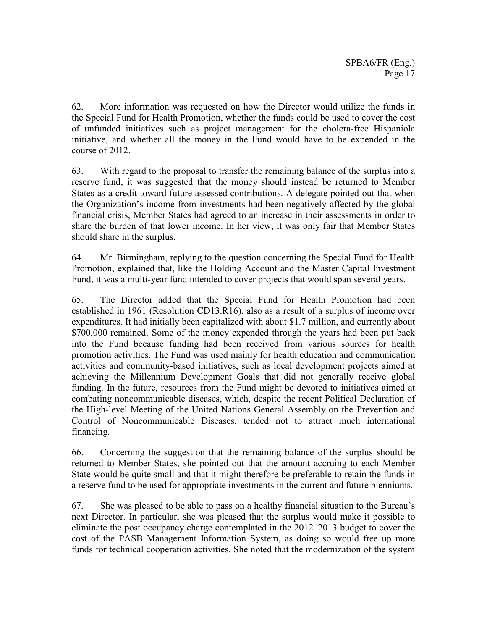62. More information was requested on how the Director would utilize the funds in the Special Fund for Health Promotion, whether the funds could be used to cover the cost of unfunded initiatives such as project management for the cholera-free Hispaniola initiative, and whether all the money in the Fund would have to be expended in the course of 2012.

63. With regard to the proposal to transfer the remaining balance of the surplus into a reserve fund, it was suggested that the money should instead be returned to Member States as a credit toward future assessed contributions. A delegate pointed out that when the Organization's income from investments had been negatively affected by the global financial crisis, Member States had agreed to an increase in their assessments in order to share the burden of that lower income. In her view, it was only fair that Member States should share in the surplus.

64. Mr. Birmingham, replying to the question concerning the Special Fund for Health Promotion, explained that, like the Holding Account and the Master Capital Investment Fund, it was a multi-year fund intended to cover projects that would span several years.

65. The Director added that the Special Fund for Health Promotion had been established in 1961 (Resolution CD13.R16), also as a result of a surplus of income over expenditures. It had initially been capitalized with about \$1.7 million, and currently about \$700,000 remained. Some of the money expended through the years had been put back into the Fund because funding had been received from various sources for health promotion activities. The Fund was used mainly for health education and communication activities and community-based initiatives, such as local development projects aimed at achieving the Millennium Development Goals that did not generally receive global funding. In the future, resources from the Fund might be devoted to initiatives aimed at combating noncommunicable diseases, which, despite the recent Political Declaration of the High-level Meeting of the United Nations General Assembly on the Prevention and Control of Noncommunicable Diseases, tended not to attract much international financing.

66. Concerning the suggestion that the remaining balance of the surplus should be returned to Member States, she pointed out that the amount accruing to each Member State would be quite small and that it might therefore be preferable to retain the funds in a reserve fund to be used for appropriate investments in the current and future bienniums.

67. She was pleased to be able to pass on a healthy financial situation to the Bureau's next Director. In particular, she was pleased that the surplus would make it possible to eliminate the post occupancy charge contemplated in the 2012–2013 budget to cover the cost of the PASB Management Information System, as doing so would free up more funds for technical cooperation activities. She noted that the modernization of the system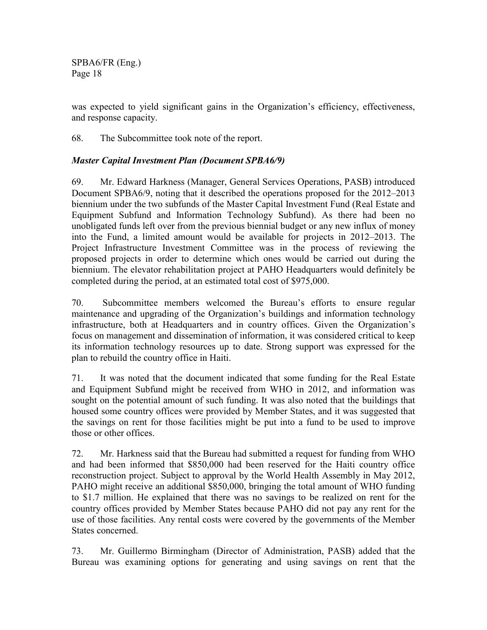was expected to yield significant gains in the Organization's efficiency, effectiveness, and response capacity.

68. The Subcommittee took note of the report.

### *Master Capital Investment Plan (Document SPBA6/9)*

69. Mr. Edward Harkness (Manager, General Services Operations, PASB) introduced Document SPBA6/9, noting that it described the operations proposed for the 2012–2013 biennium under the two subfunds of the Master Capital Investment Fund (Real Estate and Equipment Subfund and Information Technology Subfund). As there had been no unobligated funds left over from the previous biennial budget or any new influx of money into the Fund, a limited amount would be available for projects in 2012–2013. The Project Infrastructure Investment Committee was in the process of reviewing the proposed projects in order to determine which ones would be carried out during the biennium. The elevator rehabilitation project at PAHO Headquarters would definitely be completed during the period, at an estimated total cost of \$975,000.

70. Subcommittee members welcomed the Bureau's efforts to ensure regular maintenance and upgrading of the Organization's buildings and information technology infrastructure, both at Headquarters and in country offices. Given the Organization's focus on management and dissemination of information, it was considered critical to keep its information technology resources up to date. Strong support was expressed for the plan to rebuild the country office in Haiti.

71. It was noted that the document indicated that some funding for the Real Estate and Equipment Subfund might be received from WHO in 2012, and information was sought on the potential amount of such funding. It was also noted that the buildings that housed some country offices were provided by Member States, and it was suggested that the savings on rent for those facilities might be put into a fund to be used to improve those or other offices.

72. Mr. Harkness said that the Bureau had submitted a request for funding from WHO and had been informed that \$850,000 had been reserved for the Haiti country office reconstruction project. Subject to approval by the World Health Assembly in May 2012, PAHO might receive an additional \$850,000, bringing the total amount of WHO funding to \$1.7 million. He explained that there was no savings to be realized on rent for the country offices provided by Member States because PAHO did not pay any rent for the use of those facilities. Any rental costs were covered by the governments of the Member States concerned.

73. Mr. Guillermo Birmingham (Director of Administration, PASB) added that the Bureau was examining options for generating and using savings on rent that the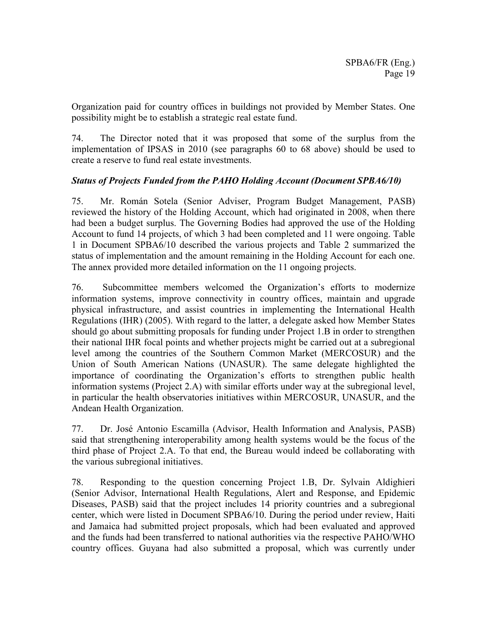Organization paid for country offices in buildings not provided by Member States. One possibility might be to establish a strategic real estate fund.

74. The Director noted that it was proposed that some of the surplus from the implementation of IPSAS in 2010 (see paragraphs 60 to 68 above) should be used to create a reserve to fund real estate investments.

### *Status of Projects Funded from the PAHO Holding Account (Document SPBA6/10)*

75. Mr. Román Sotela (Senior Adviser, Program Budget Management, PASB) reviewed the history of the Holding Account, which had originated in 2008, when there had been a budget surplus. The Governing Bodies had approved the use of the Holding Account to fund 14 projects, of which 3 had been completed and 11 were ongoing. Table 1 in Document SPBA6/10 described the various projects and Table 2 summarized the status of implementation and the amount remaining in the Holding Account for each one. The annex provided more detailed information on the 11 ongoing projects.

76. Subcommittee members welcomed the Organization's efforts to modernize information systems, improve connectivity in country offices, maintain and upgrade physical infrastructure, and assist countries in implementing the International Health Regulations (IHR) (2005). With regard to the latter, a delegate asked how Member States should go about submitting proposals for funding under Project 1.B in order to strengthen their national IHR focal points and whether projects might be carried out at a subregional level among the countries of the Southern Common Market (MERCOSUR) and the Union of South American Nations (UNASUR). The same delegate highlighted the importance of coordinating the Organization's efforts to strengthen public health information systems (Project 2.A) with similar efforts under way at the subregional level, in particular the health observatories initiatives within MERCOSUR, UNASUR, and the Andean Health Organization.

77. Dr. José Antonio Escamilla (Advisor, Health Information and Analysis, PASB) said that strengthening interoperability among health systems would be the focus of the third phase of Project 2.A. To that end, the Bureau would indeed be collaborating with the various subregional initiatives.

78. Responding to the question concerning Project 1.B, Dr. Sylvain Aldighieri (Senior Advisor, International Health Regulations, Alert and Response, and Epidemic Diseases, PASB) said that the project includes 14 priority countries and a subregional center, which were listed in Document SPBA6/10. During the period under review, Haiti and Jamaica had submitted project proposals, which had been evaluated and approved and the funds had been transferred to national authorities via the respective PAHO/WHO country offices. Guyana had also submitted a proposal, which was currently under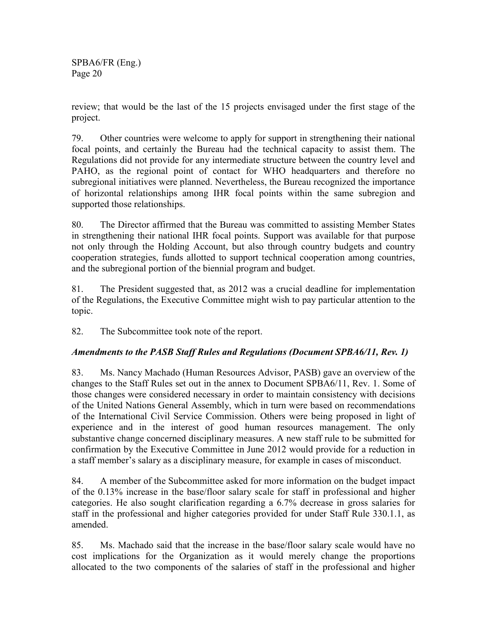review; that would be the last of the 15 projects envisaged under the first stage of the project.

79. Other countries were welcome to apply for support in strengthening their national focal points, and certainly the Bureau had the technical capacity to assist them. The Regulations did not provide for any intermediate structure between the country level and PAHO, as the regional point of contact for WHO headquarters and therefore no subregional initiatives were planned. Nevertheless, the Bureau recognized the importance of horizontal relationships among IHR focal points within the same subregion and supported those relationships.

80. The Director affirmed that the Bureau was committed to assisting Member States in strengthening their national IHR focal points. Support was available for that purpose not only through the Holding Account, but also through country budgets and country cooperation strategies, funds allotted to support technical cooperation among countries, and the subregional portion of the biennial program and budget.

81. The President suggested that, as 2012 was a crucial deadline for implementation of the Regulations, the Executive Committee might wish to pay particular attention to the topic.

82. The Subcommittee took note of the report.

### *Amendments to the PASB Staff Rules and Regulations (Document SPBA6/11, Rev. 1)*

83. Ms. Nancy Machado (Human Resources Advisor, PASB) gave an overview of the changes to the Staff Rules set out in the annex to Document SPBA6/11, Rev. 1. Some of those changes were considered necessary in order to maintain consistency with decisions of the United Nations General Assembly, which in turn were based on recommendations of the International Civil Service Commission. Others were being proposed in light of experience and in the interest of good human resources management. The only substantive change concerned disciplinary measures. A new staff rule to be submitted for confirmation by the Executive Committee in June 2012 would provide for a reduction in a staff member's salary as a disciplinary measure, for example in cases of misconduct.

84. A member of the Subcommittee asked for more information on the budget impact of the 0.13% increase in the base/floor salary scale for staff in professional and higher categories. He also sought clarification regarding a 6.7% decrease in gross salaries for staff in the professional and higher categories provided for under Staff Rule 330.1.1, as amended.

85. Ms. Machado said that the increase in the base/floor salary scale would have no cost implications for the Organization as it would merely change the proportions allocated to the two components of the salaries of staff in the professional and higher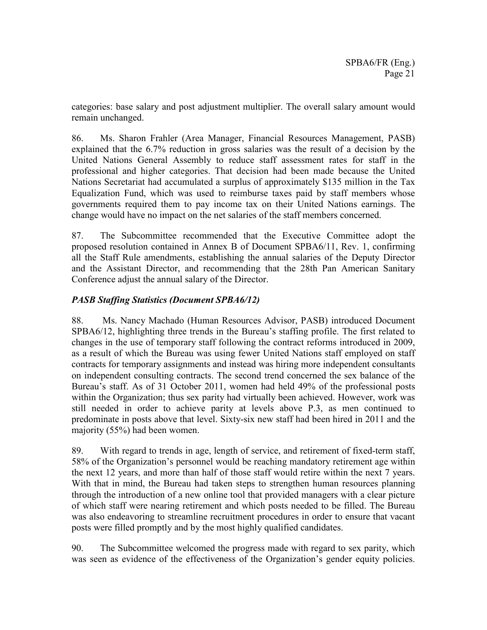categories: base salary and post adjustment multiplier. The overall salary amount would remain unchanged.

86. Ms. Sharon Frahler (Area Manager, Financial Resources Management, PASB) explained that the 6.7% reduction in gross salaries was the result of a decision by the United Nations General Assembly to reduce staff assessment rates for staff in the professional and higher categories. That decision had been made because the United Nations Secretariat had accumulated a surplus of approximately \$135 million in the Tax Equalization Fund, which was used to reimburse taxes paid by staff members whose governments required them to pay income tax on their United Nations earnings. The change would have no impact on the net salaries of the staff members concerned.

87. The Subcommittee recommended that the Executive Committee adopt the proposed resolution contained in Annex B of Document SPBA6/11, Rev. 1, confirming all the Staff Rule amendments, establishing the annual salaries of the Deputy Director and the Assistant Director, and recommending that the 28th Pan American Sanitary Conference adjust the annual salary of the Director.

### *PASB Staffing Statistics (Document SPBA6/12)*

88. Ms. Nancy Machado (Human Resources Advisor, PASB) introduced Document SPBA6/12, highlighting three trends in the Bureau's staffing profile. The first related to changes in the use of temporary staff following the contract reforms introduced in 2009, as a result of which the Bureau was using fewer United Nations staff employed on staff contracts for temporary assignments and instead was hiring more independent consultants on independent consulting contracts. The second trend concerned the sex balance of the Bureau's staff. As of 31 October 2011, women had held 49% of the professional posts within the Organization; thus sex parity had virtually been achieved. However, work was still needed in order to achieve parity at levels above P.3, as men continued to predominate in posts above that level. Sixty-six new staff had been hired in 2011 and the majority (55%) had been women.

89. With regard to trends in age, length of service, and retirement of fixed-term staff, 58% of the Organization's personnel would be reaching mandatory retirement age within the next 12 years, and more than half of those staff would retire within the next 7 years. With that in mind, the Bureau had taken steps to strengthen human resources planning through the introduction of a new online tool that provided managers with a clear picture of which staff were nearing retirement and which posts needed to be filled. The Bureau was also endeavoring to streamline recruitment procedures in order to ensure that vacant posts were filled promptly and by the most highly qualified candidates.

90. The Subcommittee welcomed the progress made with regard to sex parity, which was seen as evidence of the effectiveness of the Organization's gender equity policies.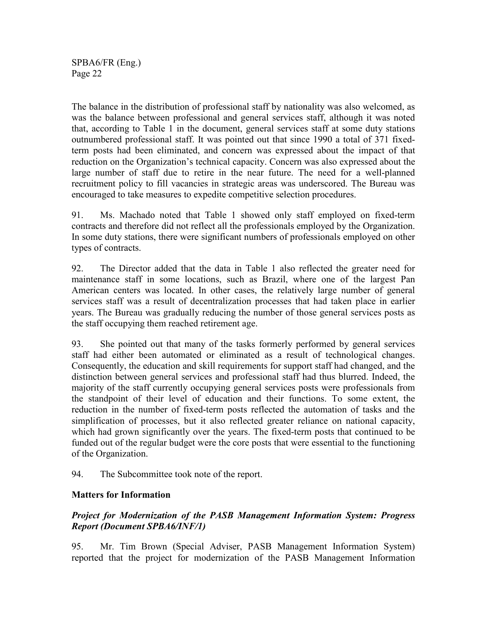The balance in the distribution of professional staff by nationality was also welcomed, as was the balance between professional and general services staff, although it was noted that, according to Table 1 in the document, general services staff at some duty stations outnumbered professional staff. It was pointed out that since 1990 a total of 371 fixedterm posts had been eliminated, and concern was expressed about the impact of that reduction on the Organization's technical capacity. Concern was also expressed about the large number of staff due to retire in the near future. The need for a well-planned recruitment policy to fill vacancies in strategic areas was underscored. The Bureau was encouraged to take measures to expedite competitive selection procedures.

91. Ms. Machado noted that Table 1 showed only staff employed on fixed-term contracts and therefore did not reflect all the professionals employed by the Organization. In some duty stations, there were significant numbers of professionals employed on other types of contracts.

92. The Director added that the data in Table 1 also reflected the greater need for maintenance staff in some locations, such as Brazil, where one of the largest Pan American centers was located. In other cases, the relatively large number of general services staff was a result of decentralization processes that had taken place in earlier years. The Bureau was gradually reducing the number of those general services posts as the staff occupying them reached retirement age.

93. She pointed out that many of the tasks formerly performed by general services staff had either been automated or eliminated as a result of technological changes. Consequently, the education and skill requirements for support staff had changed, and the distinction between general services and professional staff had thus blurred. Indeed, the majority of the staff currently occupying general services posts were professionals from the standpoint of their level of education and their functions. To some extent, the reduction in the number of fixed-term posts reflected the automation of tasks and the simplification of processes, but it also reflected greater reliance on national capacity, which had grown significantly over the years. The fixed-term posts that continued to be funded out of the regular budget were the core posts that were essential to the functioning of the Organization.

94. The Subcommittee took note of the report.

### **Matters for Information**

### *Project for Modernization of the PASB Management Information System: Progress Report (Document SPBA6/INF/1)*

95. Mr. Tim Brown (Special Adviser, PASB Management Information System) reported that the project for modernization of the PASB Management Information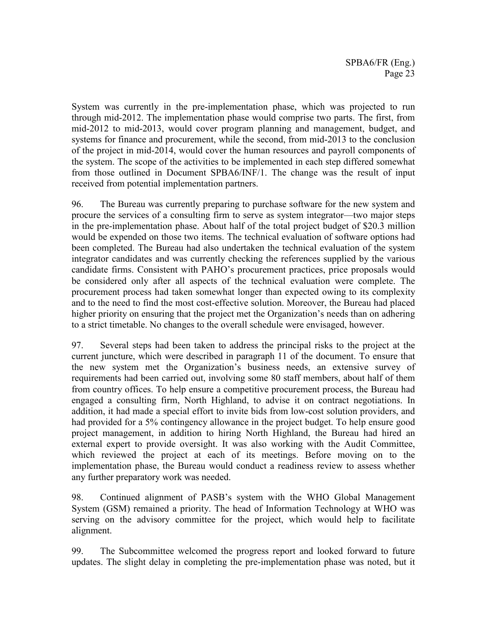System was currently in the pre-implementation phase, which was projected to run through mid-2012. The implementation phase would comprise two parts. The first, from mid-2012 to mid-2013, would cover program planning and management, budget, and systems for finance and procurement, while the second, from mid-2013 to the conclusion of the project in mid-2014, would cover the human resources and payroll components of the system. The scope of the activities to be implemented in each step differed somewhat from those outlined in Document SPBA6/INF/1. The change was the result of input received from potential implementation partners.

96. The Bureau was currently preparing to purchase software for the new system and procure the services of a consulting firm to serve as system integrator—two major steps in the pre-implementation phase. About half of the total project budget of \$20.3 million would be expended on those two items. The technical evaluation of software options had been completed. The Bureau had also undertaken the technical evaluation of the system integrator candidates and was currently checking the references supplied by the various candidate firms. Consistent with PAHO's procurement practices, price proposals would be considered only after all aspects of the technical evaluation were complete. The procurement process had taken somewhat longer than expected owing to its complexity and to the need to find the most cost-effective solution. Moreover, the Bureau had placed higher priority on ensuring that the project met the Organization's needs than on adhering to a strict timetable. No changes to the overall schedule were envisaged, however.

97. Several steps had been taken to address the principal risks to the project at the current juncture, which were described in paragraph 11 of the document. To ensure that the new system met the Organization's business needs, an extensive survey of requirements had been carried out, involving some 80 staff members, about half of them from country offices. To help ensure a competitive procurement process, the Bureau had engaged a consulting firm, North Highland, to advise it on contract negotiations. In addition, it had made a special effort to invite bids from low-cost solution providers, and had provided for a 5% contingency allowance in the project budget. To help ensure good project management, in addition to hiring North Highland, the Bureau had hired an external expert to provide oversight. It was also working with the Audit Committee, which reviewed the project at each of its meetings. Before moving on to the implementation phase, the Bureau would conduct a readiness review to assess whether any further preparatory work was needed.

98. Continued alignment of PASB's system with the WHO Global Management System (GSM) remained a priority. The head of Information Technology at WHO was serving on the advisory committee for the project, which would help to facilitate alignment.

99. The Subcommittee welcomed the progress report and looked forward to future updates. The slight delay in completing the pre-implementation phase was noted, but it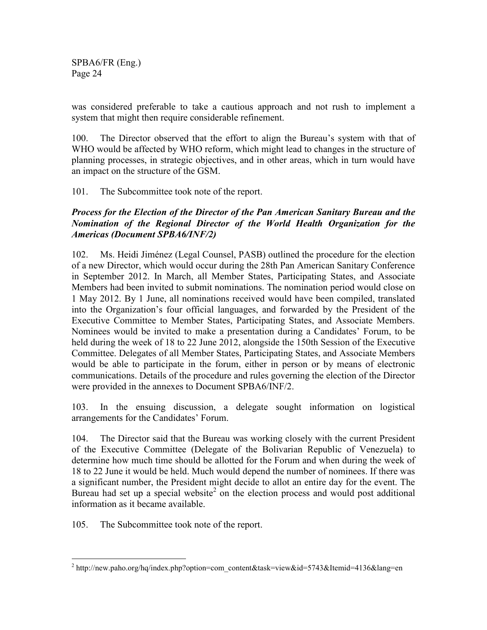was considered preferable to take a cautious approach and not rush to implement a system that might then require considerable refinement.

100. The Director observed that the effort to align the Bureau's system with that of WHO would be affected by WHO reform, which might lead to changes in the structure of planning processes, in strategic objectives, and in other areas, which in turn would have an impact on the structure of the GSM.

101. The Subcommittee took note of the report.

### *Process for the Election of the Director of the Pan American Sanitary Bureau and the Nomination of the Regional Director of the World Health Organization for the Americas (Document SPBA6/INF/2)*

102. Ms. Heidi Jiménez (Legal Counsel, PASB) outlined the procedure for the election of a new Director, which would occur during the 28th Pan American Sanitary Conference in September 2012. In March, all Member States, Participating States, and Associate Members had been invited to submit nominations. The nomination period would close on 1 May 2012. By 1 June, all nominations received would have been compiled, translated into the Organization's four official languages, and forwarded by the President of the Executive Committee to Member States, Participating States, and Associate Members. Nominees would be invited to make a presentation during a Candidates' Forum, to be held during the week of 18 to 22 June 2012, alongside the 150th Session of the Executive Committee. Delegates of all Member States, Participating States, and Associate Members would be able to participate in the forum, either in person or by means of electronic communications. Details of the procedure and rules governing the election of the Director were provided in the annexes to Document SPBA6/INF/2.

103. In the ensuing discussion, a delegate sought information on logistical arrangements for the Candidates' Forum.

104. The Director said that the Bureau was working closely with the current President of the Executive Committee (Delegate of the Bolivarian Republic of Venezuela) to determine how much time should be allotted for the Forum and when during the week of 18 to 22 June it would be held. Much would depend the number of nominees. If there was a significant number, the President might decide to allot an entire day for the event. The Bureau had set up a special website<sup>2</sup> on the election process and would post additional information as it became available.

105. The Subcommittee took note of the report.

 $\overline{a}$ <sup>2</sup> http://new.paho.org/hq/index.php?option=com\_content&task=view&id=5743&Itemid=4136&lang=en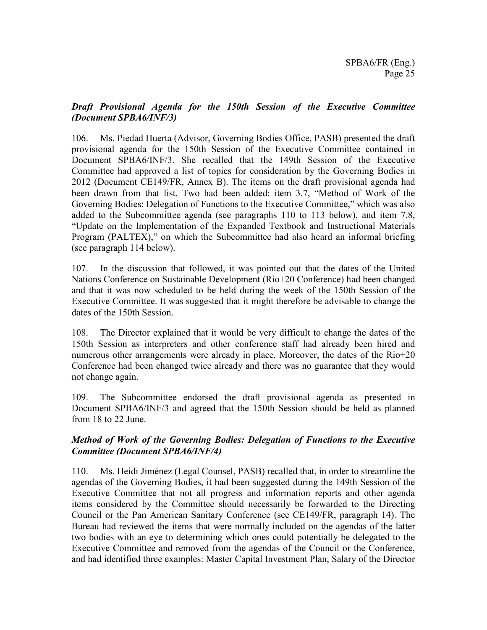### *Draft Provisional Agenda for the 150th Session of the Executive Committee (Document SPBA6/INF/3)*

106. Ms. Piedad Huerta (Advisor, Governing Bodies Office, PASB) presented the draft provisional agenda for the 150th Session of the Executive Committee contained in Document SPBA6/INF/3. She recalled that the 149th Session of the Executive Committee had approved a list of topics for consideration by the Governing Bodies in 2012 (Document CE149/FR, Annex B). The items on the draft provisional agenda had been drawn from that list. Two had been added: item 3.7, "Method of Work of the Governing Bodies: Delegation of Functions to the Executive Committee," which was also added to the Subcommittee agenda (see paragraphs 110 to 113 below), and item 7.8, "Update on the Implementation of the Expanded Textbook and Instructional Materials Program (PALTEX)," on which the Subcommittee had also heard an informal briefing (see paragraph 114 below).

107. In the discussion that followed, it was pointed out that the dates of the United Nations Conference on Sustainable Development (Rio+20 Conference) had been changed and that it was now scheduled to be held during the week of the 150th Session of the Executive Committee. It was suggested that it might therefore be advisable to change the dates of the 150th Session.

108. The Director explained that it would be very difficult to change the dates of the 150th Session as interpreters and other conference staff had already been hired and numerous other arrangements were already in place. Moreover, the dates of the Rio+20 Conference had been changed twice already and there was no guarantee that they would not change again.

109. The Subcommittee endorsed the draft provisional agenda as presented in Document SPBA6/INF/3 and agreed that the 150th Session should be held as planned from 18 to 22 June.

### *Method of Work of the Governing Bodies: Delegation of Functions to the Executive Committee (Document SPBA6/INF/4)*

110. Ms. Heidi Jiménez (Legal Counsel, PASB) recalled that, in order to streamline the agendas of the Governing Bodies, it had been suggested during the 149th Session of the Executive Committee that not all progress and information reports and other agenda items considered by the Committee should necessarily be forwarded to the Directing Council or the Pan American Sanitary Conference (see CE149/FR, paragraph 14). The Bureau had reviewed the items that were normally included on the agendas of the latter two bodies with an eye to determining which ones could potentially be delegated to the Executive Committee and removed from the agendas of the Council or the Conference, and had identified three examples: Master Capital Investment Plan, Salary of the Director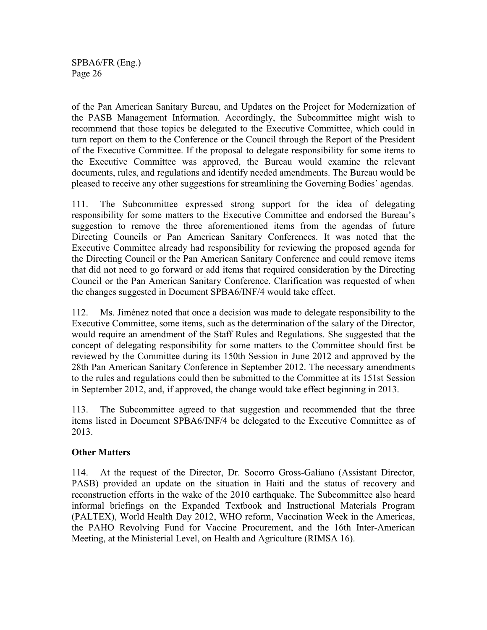of the Pan American Sanitary Bureau, and Updates on the Project for Modernization of the PASB Management Information. Accordingly, the Subcommittee might wish to recommend that those topics be delegated to the Executive Committee, which could in turn report on them to the Conference or the Council through the Report of the President of the Executive Committee. If the proposal to delegate responsibility for some items to the Executive Committee was approved, the Bureau would examine the relevant documents, rules, and regulations and identify needed amendments. The Bureau would be pleased to receive any other suggestions for streamlining the Governing Bodies' agendas.

111. The Subcommittee expressed strong support for the idea of delegating responsibility for some matters to the Executive Committee and endorsed the Bureau's suggestion to remove the three aforementioned items from the agendas of future Directing Councils or Pan American Sanitary Conferences. It was noted that the Executive Committee already had responsibility for reviewing the proposed agenda for the Directing Council or the Pan American Sanitary Conference and could remove items that did not need to go forward or add items that required consideration by the Directing Council or the Pan American Sanitary Conference. Clarification was requested of when the changes suggested in Document SPBA6/INF/4 would take effect.

112. Ms. Jiménez noted that once a decision was made to delegate responsibility to the Executive Committee, some items, such as the determination of the salary of the Director, would require an amendment of the Staff Rules and Regulations. She suggested that the concept of delegating responsibility for some matters to the Committee should first be reviewed by the Committee during its 150th Session in June 2012 and approved by the 28th Pan American Sanitary Conference in September 2012. The necessary amendments to the rules and regulations could then be submitted to the Committee at its 151st Session in September 2012, and, if approved, the change would take effect beginning in 2013.

113. The Subcommittee agreed to that suggestion and recommended that the three items listed in Document SPBA6/INF/4 be delegated to the Executive Committee as of 2013.

### **Other Matters**

114. At the request of the Director, Dr. Socorro Gross-Galiano (Assistant Director, PASB) provided an update on the situation in Haiti and the status of recovery and reconstruction efforts in the wake of the 2010 earthquake. The Subcommittee also heard informal briefings on the Expanded Textbook and Instructional Materials Program (PALTEX), World Health Day 2012, WHO reform, Vaccination Week in the Americas, the PAHO Revolving Fund for Vaccine Procurement, and the 16th Inter-American Meeting, at the Ministerial Level, on Health and Agriculture (RIMSA 16).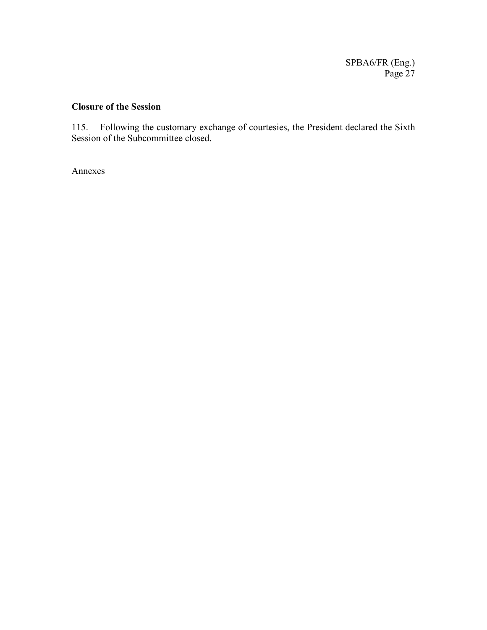# **Closure of the Session**

115. Following the customary exchange of courtesies, the President declared the Sixth Session of the Subcommittee closed.

Annexes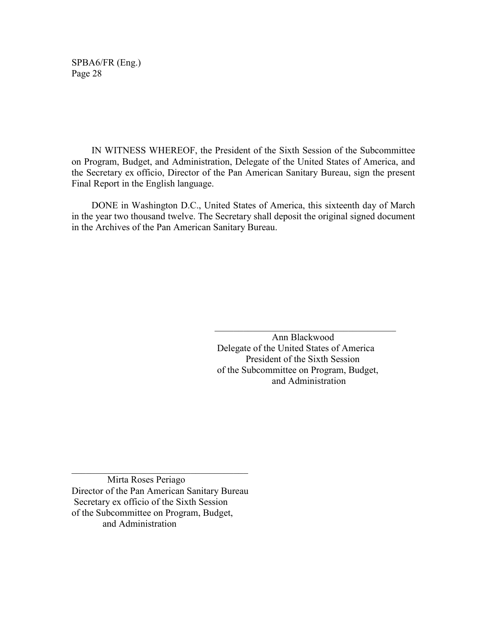IN WITNESS WHEREOF, the President of the Sixth Session of the Subcommittee on Program, Budget, and Administration, Delegate of the United States of America, and the Secretary ex officio, Director of the Pan American Sanitary Bureau, sign the present Final Report in the English language.

 DONE in Washington D.C., United States of America, this sixteenth day of March in the year two thousand twelve. The Secretary shall deposit the original signed document in the Archives of the Pan American Sanitary Bureau.

 $\mathcal{L}_\mathcal{L}$  , which is a set of the set of the set of the set of the set of the set of the set of the set of the set of the set of the set of the set of the set of the set of the set of the set of the set of the set of

 Ann Blackwood Delegate of the United States of America President of the Sixth Session of the Subcommittee on Program, Budget, and Administration

 Mirta Roses Periago Director of the Pan American Sanitary Bureau Secretary ex officio of the Sixth Session of the Subcommittee on Program, Budget, and Administration

 $\_$  . The contribution of the contribution of  $\mathcal{L}_\mathcal{L}$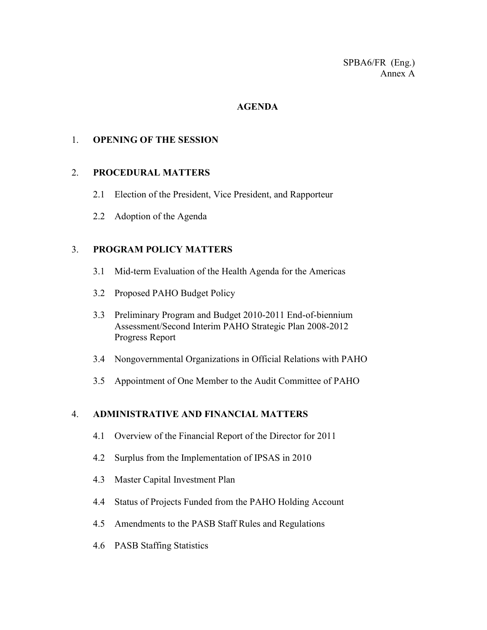#### **AGENDA**

#### 1. **OPENING OF THE SESSION**

#### 2. **PROCEDURAL MATTERS**

- 2.1 Election of the President, Vice President, and Rapporteur
- 2.2 Adoption of the Agenda

#### 3. **PROGRAM POLICY MATTERS**

- 3.1 Mid-term Evaluation of the Health Agenda for the Americas
- 3.2 Proposed PAHO Budget Policy
- 3.3 Preliminary Program and Budget 2010-2011 End-of-biennium Assessment/Second Interim PAHO Strategic Plan 2008-2012 Progress Report
- 3.4 Nongovernmental Organizations in Official Relations with PAHO
- 3.5 Appointment of One Member to the Audit Committee of PAHO

### 4. **ADMINISTRATIVE AND FINANCIAL MATTERS**

- 4.1 Overview of the Financial Report of the Director for 2011
- 4.2 Surplus from the Implementation of IPSAS in 2010
- 4.3 Master Capital Investment Plan
- 4.4 Status of Projects Funded from the PAHO Holding Account
- 4.5 Amendments to the PASB Staff Rules and Regulations
- 4.6 PASB Staffing Statistics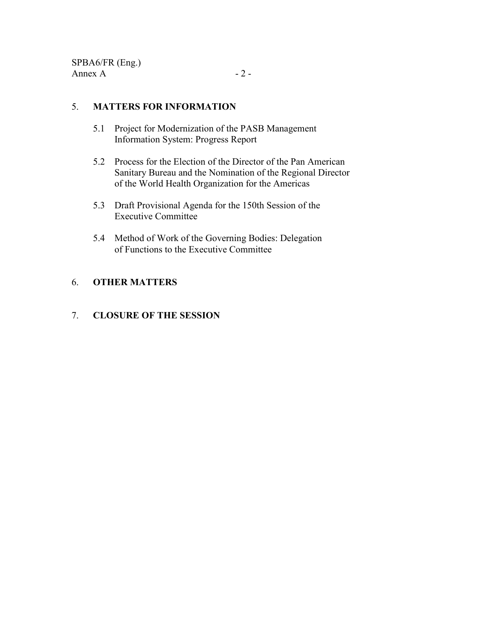### 5. **MATTERS FOR INFORMATION**

- 5.1 Project for Modernization of the PASB Management Information System: Progress Report
- 5.2 Process for the Election of the Director of the Pan American Sanitary Bureau and the Nomination of the Regional Director of the World Health Organization for the Americas
- 5.3 Draft Provisional Agenda for the 150th Session of the Executive Committee
- 5.4 Method of Work of the Governing Bodies: Delegation of Functions to the Executive Committee

### 6. **OTHER MATTERS**

### 7. **CLOSURE OF THE SESSION**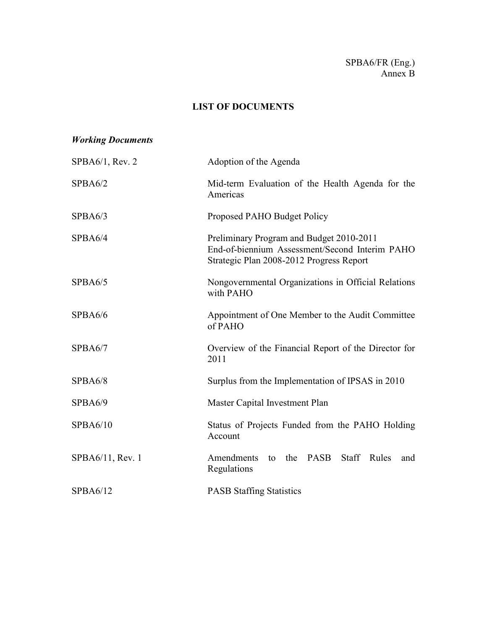### SPBA6/FR (Eng.) Annex B

# **LIST OF DOCUMENTS**

# *Working Documents*

| SPBA6/1, Rev. 2  | Adoption of the Agenda                                                                                                                 |
|------------------|----------------------------------------------------------------------------------------------------------------------------------------|
| SPBA6/2          | Mid-term Evaluation of the Health Agenda for the<br>Americas                                                                           |
| SPBA6/3          | Proposed PAHO Budget Policy                                                                                                            |
| SPBA6/4          | Preliminary Program and Budget 2010-2011<br>End-of-biennium Assessment/Second Interim PAHO<br>Strategic Plan 2008-2012 Progress Report |
| SPBA6/5          | Nongovernmental Organizations in Official Relations<br>with PAHO                                                                       |
| SPBA6/6          | Appointment of One Member to the Audit Committee<br>of PAHO                                                                            |
| SPBA6/7          | Overview of the Financial Report of the Director for<br>2011                                                                           |
| SPBA6/8          | Surplus from the Implementation of IPSAS in 2010                                                                                       |
| SPBA6/9          | Master Capital Investment Plan                                                                                                         |
| SPBA6/10         | Status of Projects Funded from the PAHO Holding<br>Account                                                                             |
| SPBA6/11, Rev. 1 | to the PASB<br>Amendments<br><b>Staff</b><br>Rules<br>and<br>Regulations                                                               |
| SPBA6/12         | <b>PASB Staffing Statistics</b>                                                                                                        |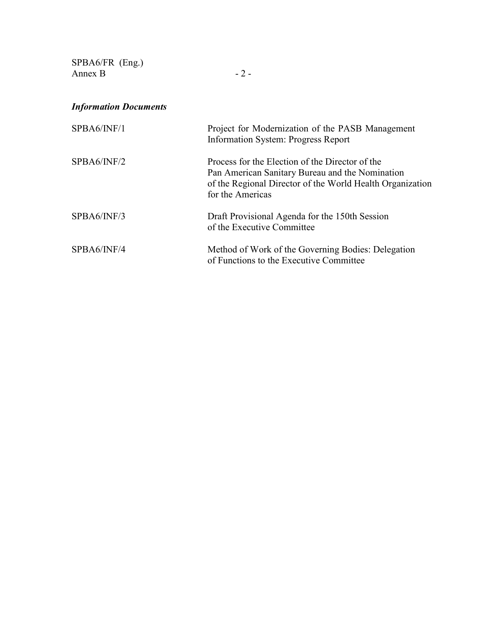SPBA6/FR (Eng.) Annex B  $-2-$ 

# *Information Documents*

| SPBA6/INF/1 | Project for Modernization of the PASB Management<br>Information System: Progress Report                                                                                             |
|-------------|-------------------------------------------------------------------------------------------------------------------------------------------------------------------------------------|
| SPBA6/INF/2 | Process for the Election of the Director of the<br>Pan American Sanitary Bureau and the Nomination<br>of the Regional Director of the World Health Organization<br>for the Americas |
| SPBA6/INF/3 | Draft Provisional Agenda for the 150th Session<br>of the Executive Committee                                                                                                        |
| SPBA6/INF/4 | Method of Work of the Governing Bodies: Delegation<br>of Functions to the Executive Committee                                                                                       |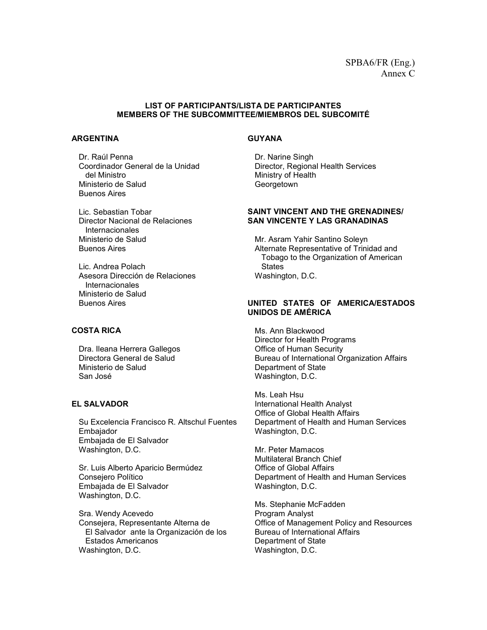#### **LIST OF PARTICIPANTS/LISTA DE PARTICIPANTES MEMBERS OF THE SUBCOMMITTEE/MIEMBROS DEL SUBCOMITÉ**

#### **ARGENTINA**

 Dr. Raúl Penna Coordinador General de la Unidad del Ministro Ministerio de Salud Buenos Aires

 Lic. Sebastian Tobar Director Nacional de Relaciones Internacionales Ministerio de Salud Buenos Aires

 Lic. Andrea Polach Asesora Dirección de Relaciones Internacionales Ministerio de Salud Buenos Aires

#### **COSTA RICA**

 Dra. Ileana Herrera Gallegos Directora General de Salud Ministerio de Salud San José

#### **EL SALVADOR**

 Su Excelencia Francisco R. Altschul Fuentes Embajador Embajada de El Salvador Washington, D.C.

 Sr. Luis Alberto Aparicio Bermúdez Consejero Político Embajada de El Salvador Washington, D.C.

 Sra. Wendy Acevedo Consejera, Representante Alterna de El Salvador ante la Organización de los Estados Americanos Washington, D.C.

#### **GUYANA**

 Dr. Narine Singh Director, Regional Health Services Ministry of Health **Georgetown** 

#### **SAINT VINCENT AND THE GRENADINES/ SAN VINCENTE Y LAS GRANADINAS**

Mr. Asram Yahir Santino Soleyn Alternate Representative of Trinidad and Tobago to the Organization of American **States** Washington, D.C.

#### **UNITED STATES OF AMERICA/ESTADOS UNIDOS DE AMÉRICA**

 Ms. Ann Blackwood Director for Health Programs Office of Human Security Bureau of International Organization Affairs Department of State Washington, D.C.

 Ms. Leah Hsu International Health Analyst Office of Global Health Affairs Department of Health and Human Services Washington, D.C.

 Mr. Peter Mamacos Multilateral Branch Chief Office of Global Affairs Department of Health and Human Services Washington, D.C.

 Ms. Stephanie McFadden Program Analyst Office of Management Policy and Resources Bureau of International Affairs Department of State Washington, D.C.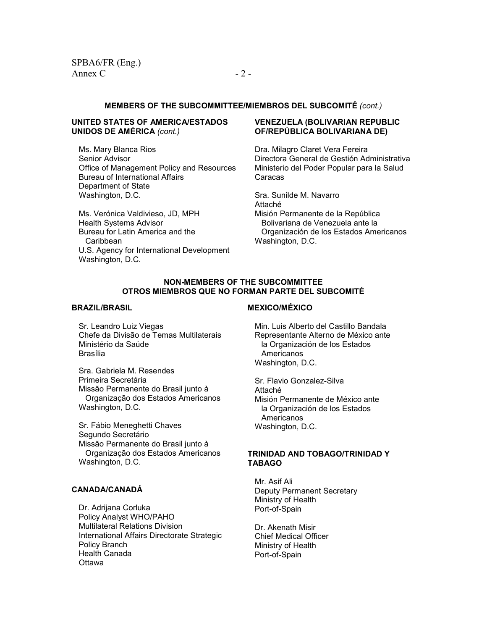#### **MEMBERS OF THE SUBCOMMITTEE/MIEMBROS DEL SUBCOMITÉ** *(cont.)*

#### **UNITED STATES OF AMERICA/ESTADOS UNIDOS DE AMÉRICA** *(cont.)*

 Ms. Mary Blanca Rios Senior Advisor Office of Management Policy and Resources Bureau of International Affairs Department of State Washington, D.C.

Ms. Verónica Valdivieso, JD, MPH Health Systems Advisor Bureau for Latin America and the Caribbean U.S. Agency for International Development Washington, D.C.

#### **VENEZUELA (BOLIVARIAN REPUBLIC OF/REPÚBLICA BOLIVARIANA DE)**

Dra. Milagro Claret Vera Fereira Directora General de Gestión Administrativa Ministerio del Poder Popular para la Salud Caracas

 Sra. Sunilde M. Navarro Attaché Misión Permanente de la República Bolivariana de Venezuela ante la Organización de los Estados Americanos Washington, D.C.

#### **NON-MEMBERS OF THE SUBCOMMITTEE OTROS MIEMBROS QUE NO FORMAN PARTE DEL SUBCOMITÉ**

#### **BRAZIL/BRASIL**

 Sr. Leandro Luiz Viegas Chefe da Divisão de Temas Multilaterais Ministério da Saúde Brasília

 Sra. Gabriela M. Resendes Primeira Secretária Missão Permanente do Brasil junto à Organização dos Estados Americanos Washington, D.C.

 Sr. Fábio Meneghetti Chaves Segundo Secretário Missão Permanente do Brasil junto à Organização dos Estados Americanos Washington, D.C.

#### **CANADA/CANADÁ**

Dr. Adrijana Corluka Policy Analyst WHO/PAHO Multilateral Relations Division International Affairs Directorate Strategic Policy Branch Health Canada Ottawa

#### **MEXICO/MÉXICO**

 Min. Luis Alberto del Castillo Bandala Representante Alterno de México ante la Organización de los Estados Americanos Washington, D.C.

 Sr. Flavio Gonzalez-Silva Attaché Misión Permanente de México ante la Organización de los Estados Americanos Washington, D.C.

#### **TRINIDAD AND TOBAGO/TRINIDAD Y TABAGO**

Mr. Asif Ali Deputy Permanent Secretary Ministry of Health Port-of-Spain

Dr. Akenath Misir Chief Medical Officer Ministry of Health Port-of-Spain